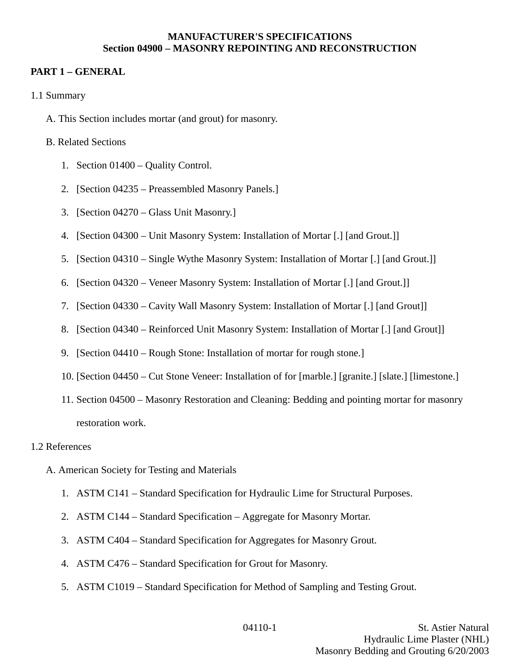#### **MANUFACTURER'S SPECIFICATIONS Section 04900 – MASONRY REPOINTING AND RECONSTRUCTION**

## **PART 1 – GENERAL**

- 1.1 Summary
	- A. This Section includes mortar (and grout) for masonry.

#### B. Related Sections

- 1. Section 01400 Quality Control.
- 2. [Section 04235 Preassembled Masonry Panels.]
- 3. [Section 04270 Glass Unit Masonry.]
- 4. [Section 04300 Unit Masonry System: Installation of Mortar [.] [and Grout.]]
- 5. [Section 04310 Single Wythe Masonry System: Installation of Mortar [.] [and Grout.]]
- 6. [Section 04320 Veneer Masonry System: Installation of Mortar [.] [and Grout.]]
- 7. [Section 04330 Cavity Wall Masonry System: Installation of Mortar [.] [and Grout]]
- 8. [Section 04340 Reinforced Unit Masonry System: Installation of Mortar [.] [and Grout]]
- 9. [Section 04410 Rough Stone: Installation of mortar for rough stone.]
- 10. [Section 04450 Cut Stone Veneer: Installation of for [marble.] [granite.] [slate.] [limestone.]
- 11. Section 04500 Masonry Restoration and Cleaning: Bedding and pointing mortar for masonry restoration work.

#### 1.2 References

- A. American Society for Testing and Materials
	- 1. ASTM C141 Standard Specification for Hydraulic Lime for Structural Purposes.
	- 2. ASTM C144 Standard Specification Aggregate for Masonry Mortar.
	- 3. ASTM C404 Standard Specification for Aggregates for Masonry Grout.
	- 4. ASTM C476 Standard Specification for Grout for Masonry.
	- 5. ASTM C1019 Standard Specification for Method of Sampling and Testing Grout.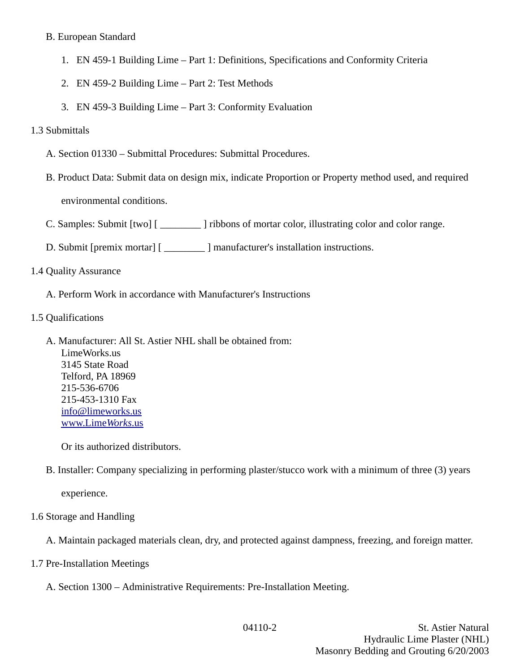## B. European Standard

- 1. EN 459-1 Building Lime Part 1: Definitions, Specifications and Conformity Criteria
- 2. EN 459-2 Building Lime Part 2: Test Methods
- 3. EN 459-3 Building Lime Part 3: Conformity Evaluation

## 1.3 Submittals

- A. Section 01330 Submittal Procedures: Submittal Procedures.
- B. Product Data: Submit data on design mix, indicate Proportion or Property method used, and required environmental conditions.
- C. Samples: Submit [two] [ \_\_\_\_\_\_\_\_ ] ribbons of mortar color, illustrating color and color range.
- D. Submit [premix mortar] [ \_\_\_\_\_\_\_\_ ] manufacturer's installation instructions.

## 1.4 Quality Assurance

- A. Perform Work in accordance with Manufacturer's Instructions
- 1.5 Qualifications
	- A. Manufacturer: All St. Astier NHL shall be obtained from: LimeWorks.us 3145 State Road Telford, PA 18969 215-536-6706 215-453-1310 Fax [info@limeworks.us](mailto:info@limeworks.us)  [www.Lime](http://www.LimeWorks.us/) *[Works](http://www.LimeWorks.us/)*[.us](http://www.LimeWorks.us/)

Or its authorized distributors.

B. Installer: Company specializing in performing plaster/stucco work with a minimum of three (3) years

experience.

## 1.6 Storage and Handling

A. Maintain packaged materials clean, dry, and protected against dampness, freezing, and foreign matter.

- 1.7 Pre-Installation Meetings
	- A. Section 1300 Administrative Requirements: Pre-Installation Meeting.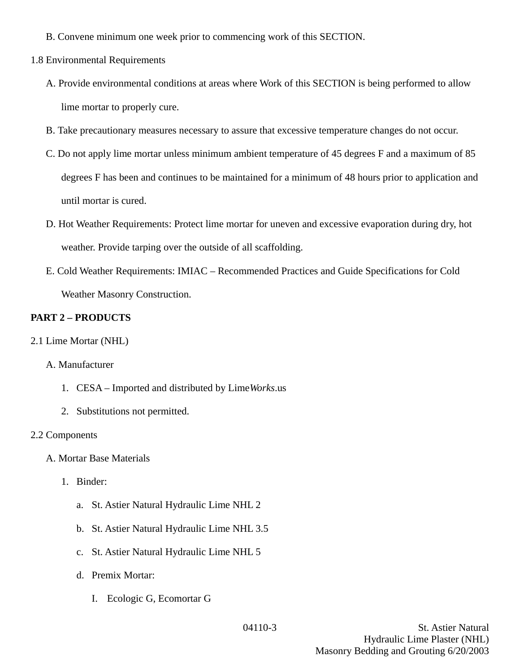- B. Convene minimum one week prior to commencing work of this SECTION.
- 1.8 Environmental Requirements
	- A. Provide environmental conditions at areas where Work of this SECTION is being performed to allow lime mortar to properly cure.
	- B. Take precautionary measures necessary to assure that excessive temperature changes do not occur.
	- C. Do not apply lime mortar unless minimum ambient temperature of 45 degrees F and a maximum of 85 degrees F has been and continues to be maintained for a minimum of 48 hours prior to application and until mortar is cured.
	- D. Hot Weather Requirements: Protect lime mortar for uneven and excessive evaporation during dry, hot weather. Provide tarping over the outside of all scaffolding.
	- E. Cold Weather Requirements: IMIAC Recommended Practices and Guide Specifications for Cold Weather Masonry Construction.

## **PART 2 – PRODUCTS**

2.1 Lime Mortar (NHL)

## A. Manufacturer

- 1. CESA Imported and distributed by Lime*Works*.us
- 2. Substitutions not permitted.

#### 2.2 Components

- A. Mortar Base Materials
	- 1. Binder:
		- a. St. Astier Natural Hydraulic Lime NHL 2
		- b. St. Astier Natural Hydraulic Lime NHL 3.5
		- c. St. Astier Natural Hydraulic Lime NHL 5
		- d. Premix Mortar:
			- I. Ecologic G, Ecomortar G

04110-3 St. Astier Natural Hydraulic Lime Plaster (NHL) Masonry Bedding and Grouting 6/20/2003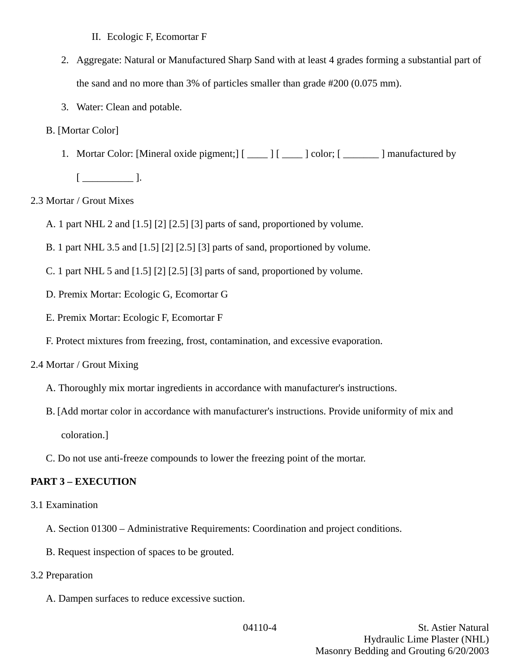II. Ecologic F, Ecomortar F

- 2. Aggregate: Natural or Manufactured Sharp Sand with at least 4 grades forming a substantial part of the sand and no more than 3% of particles smaller than grade #200 (0.075 mm).
- 3. Water: Clean and potable.
- B. [Mortar Color]
	- 1. Mortar Color: [Mineral oxide pigment;] [ \_\_\_\_ ] [ \_\_\_\_ ] color; [ \_\_\_\_\_\_ ] manufactured by

 $[$   $\qquad$   $]$ .

- 2.3 Mortar / Grout Mixes
	- A. 1 part NHL 2 and [1.5] [2] [2.5] [3] parts of sand, proportioned by volume.
	- B. 1 part NHL 3.5 and [1.5] [2] [2.5] [3] parts of sand, proportioned by volume.
	- C. 1 part NHL 5 and [1.5] [2] [2.5] [3] parts of sand, proportioned by volume.
	- D. Premix Mortar: Ecologic G, Ecomortar G
	- E. Premix Mortar: Ecologic F, Ecomortar F
	- F. Protect mixtures from freezing, frost, contamination, and excessive evaporation.
- 2.4 Mortar / Grout Mixing
	- A. Thoroughly mix mortar ingredients in accordance with manufacturer's instructions.
	- B. [Add mortar color in accordance with manufacturer's instructions. Provide uniformity of mix and

coloration.]

C. Do not use anti-freeze compounds to lower the freezing point of the mortar.

## **PART 3 – EXECUTION**

- 3.1 Examination
	- A. Section 01300 Administrative Requirements: Coordination and project conditions.
	- B. Request inspection of spaces to be grouted.
- 3.2 Preparation
	- A. Dampen surfaces to reduce excessive suction.

04110-4 St. Astier Natural Hydraulic Lime Plaster (NHL) Masonry Bedding and Grouting 6/20/2003